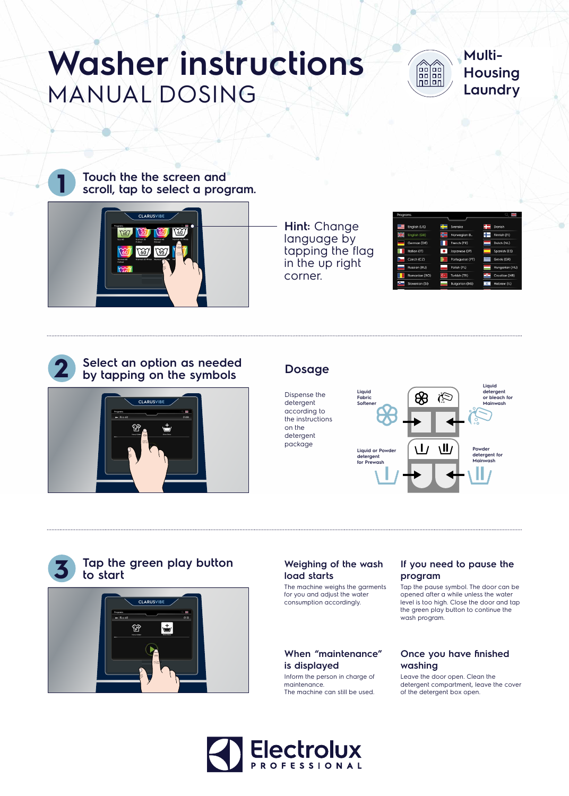

# **Select an option as needed by tapping on the symbols**



**Hint:** Change language by tapping the flag in the up right corner.

| Programs                 |                       | 얥              |
|--------------------------|-----------------------|----------------|
|                          |                       |                |
| English (US)             | Svenska               | Danish         |
| 2K<br>2K<br>English (GB) | Norwegian B.          | Finnish (FI)   |
| German (DE)              | French (FR)           | Dutch (NL)     |
| Italian (IT)             | Japanese (JP)         | Spanish (ES)   |
| Czech (CZ)               | Portuguese (PT)       | Greek (GR)     |
| Russian (RU)             | Polish (PL)           | Hungarian (HU) |
| Romanian (RO)            | Turkish (TR)          | Croatian (HR)  |
| Slovenian (SI)           | <b>Bulgarian (BG)</b> | Hebrew (IL)    |





Dispense the detergent according to the instructions on the detergent package





# **Washer instructions WOSHEI INSTRUCTIONS**<br>MANUAL DOSING Laundry



**Multi-Housing** 

# **3 Tap the green play button to start**



### **Weighing of the wash load starts**

The machine weighs the garments for you and adjust the water consumption accordingly.

# **If you need to pause the program**

Tap the pause symbol. The door can be opened after a while unless the water level is too high. Close the door and tap the green play button to continue the wash program.

### **When "maintenance" is displayed**

Inform the person in charge of maintenance. The machine can still be used.

### **Once you have finished washing**

Leave the door open. Clean the detergent compartment, leave the cover of the detergent box open.